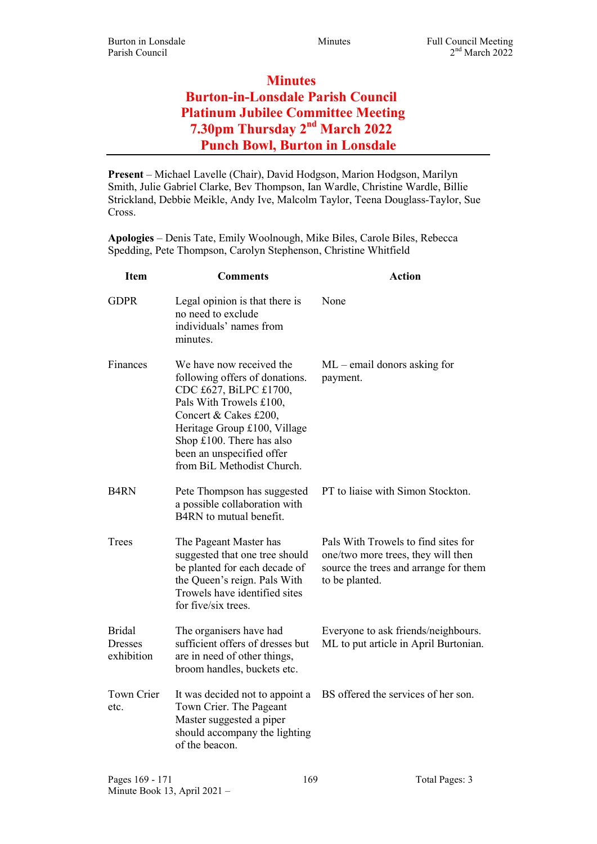## **Minutes** Burton-in-Lonsdale Parish Council Platinum Jubilee Committee Meeting 7.30pm Thursday 2nd March 2022 Punch Bowl, Burton in Lonsdale

Present – Michael Lavelle (Chair), David Hodgson, Marion Hodgson, Marilyn Smith, Julie Gabriel Clarke, Bev Thompson, Ian Wardle, Christine Wardle, Billie Strickland, Debbie Meikle, Andy Ive, Malcolm Taylor, Teena Douglass-Taylor, Sue Cross.

Apologies – Denis Tate, Emily Woolnough, Mike Biles, Carole Biles, Rebecca Spedding, Pete Thompson, Carolyn Stephenson, Christine Whitfield

| <b>Item</b>                                   | <b>Comments</b>                                                                                                                                                                                                                                                     | <b>Action</b>                                                                                                                        |
|-----------------------------------------------|---------------------------------------------------------------------------------------------------------------------------------------------------------------------------------------------------------------------------------------------------------------------|--------------------------------------------------------------------------------------------------------------------------------------|
| <b>GDPR</b>                                   | Legal opinion is that there is<br>no need to exclude<br>individuals' names from<br>minutes.                                                                                                                                                                         | None                                                                                                                                 |
| Finances                                      | We have now received the<br>following offers of donations.<br>CDC £627, BiLPC £1700,<br>Pals With Trowels £100,<br>Concert & Cakes £200,<br>Heritage Group £100, Village<br>Shop $£100$ . There has also<br>been an unspecified offer<br>from BiL Methodist Church. | $ML$ – email donors asking for<br>payment.                                                                                           |
| <b>B4RN</b>                                   | Pete Thompson has suggested<br>a possible collaboration with<br>B4RN to mutual benefit.                                                                                                                                                                             | PT to liaise with Simon Stockton.                                                                                                    |
| Trees                                         | The Pageant Master has<br>suggested that one tree should<br>be planted for each decade of<br>the Queen's reign. Pals With<br>Trowels have identified sites<br>for five/six trees.                                                                                   | Pals With Trowels to find sites for<br>one/two more trees, they will then<br>source the trees and arrange for them<br>to be planted. |
| <b>Bridal</b><br><b>Dresses</b><br>exhibition | The organisers have had<br>sufficient offers of dresses but<br>are in need of other things,<br>broom handles, buckets etc.                                                                                                                                          | Everyone to ask friends/neighbours.<br>ML to put article in April Burtonian.                                                         |
| Town Crier<br>etc.                            | It was decided not to appoint a<br>Town Crier. The Pageant<br>Master suggested a piper<br>should accompany the lighting<br>of the beacon.                                                                                                                           | BS offered the services of her son.                                                                                                  |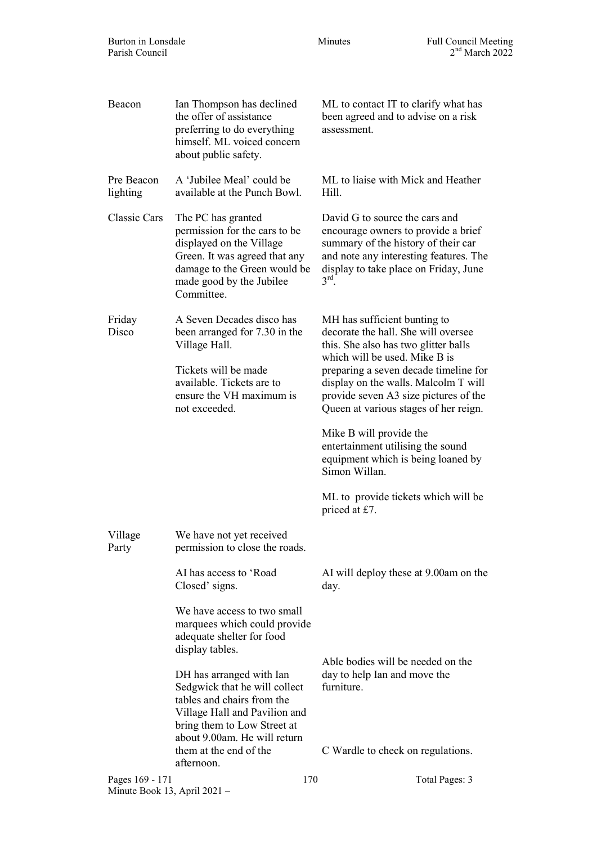| Beacon                                                                   | Ian Thompson has declined<br>the offer of assistance<br>preferring to do everything<br>himself. ML voiced concern<br>about public safety.                                                  | ML to contact IT to clarify what has<br>been agreed and to advise on a risk<br>assessment.                                                                                                                           |  |  |
|--------------------------------------------------------------------------|--------------------------------------------------------------------------------------------------------------------------------------------------------------------------------------------|----------------------------------------------------------------------------------------------------------------------------------------------------------------------------------------------------------------------|--|--|
| Pre Beacon<br>lighting                                                   | A 'Jubilee Meal' could be<br>available at the Punch Bowl.                                                                                                                                  | ML to liaise with Mick and Heather<br>Hill.                                                                                                                                                                          |  |  |
| Classic Cars                                                             | The PC has granted<br>permission for the cars to be<br>displayed on the Village<br>Green. It was agreed that any<br>damage to the Green would be<br>made good by the Jubilee<br>Committee. | David G to source the cars and<br>encourage owners to provide a brief<br>summary of the history of their car<br>and note any interesting features. The<br>display to take place on Friday, June<br>$3^{\text{rd}}$ . |  |  |
| Friday<br>Disco                                                          | A Seven Decades disco has<br>been arranged for 7.30 in the<br>Village Hall.                                                                                                                | MH has sufficient bunting to<br>decorate the hall. She will oversee<br>this. She also has two glitter balls                                                                                                          |  |  |
|                                                                          | Tickets will be made<br>available. Tickets are to<br>ensure the VH maximum is<br>not exceeded.                                                                                             | which will be used. Mike B is<br>preparing a seven decade timeline for<br>display on the walls. Malcolm T will<br>provide seven A3 size pictures of the<br>Queen at various stages of her reign.                     |  |  |
|                                                                          |                                                                                                                                                                                            | Mike B will provide the<br>entertainment utilising the sound<br>equipment which is being loaned by<br>Simon Willan.                                                                                                  |  |  |
|                                                                          |                                                                                                                                                                                            | ML to provide tickets which will be<br>priced at £7.                                                                                                                                                                 |  |  |
| Village<br>Party                                                         | We have not yet received<br>permission to close the roads.                                                                                                                                 |                                                                                                                                                                                                                      |  |  |
|                                                                          | AI has access to 'Road<br>Closed' signs.                                                                                                                                                   | AI will deploy these at 9.00am on the<br>day.                                                                                                                                                                        |  |  |
|                                                                          | We have access to two small<br>marquees which could provide<br>adequate shelter for food<br>display tables.                                                                                | Able bodies will be needed on the                                                                                                                                                                                    |  |  |
|                                                                          | DH has arranged with Ian<br>Sedgwick that he will collect<br>tables and chairs from the<br>Village Hall and Pavilion and<br>bring them to Low Street at                                    | day to help Ian and move the<br>furniture.                                                                                                                                                                           |  |  |
|                                                                          | about 9.00am. He will return<br>them at the end of the<br>afternoon.                                                                                                                       | C Wardle to check on regulations.                                                                                                                                                                                    |  |  |
| Pages 169 - 171<br>170<br>Total Pages: 3<br>Minute Book 13, April 2021 - |                                                                                                                                                                                            |                                                                                                                                                                                                                      |  |  |